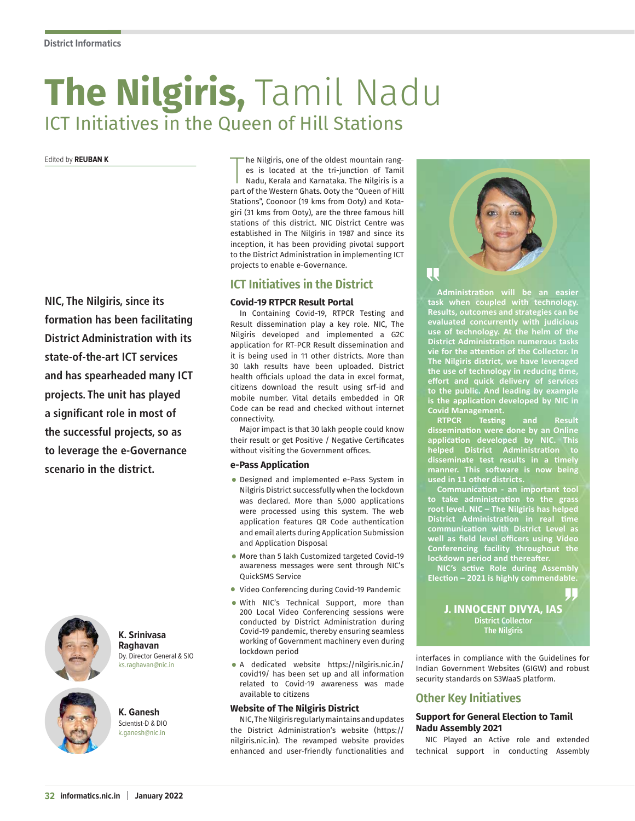# **The Nilgiris,** Tamil Nadu ICT Initiatives in the Queen of Hill Stations

Edited by **REUBAN K**

**NIC, The Nilgiris, since its formation has been facilitating District Administration with its state-of-the-art ICT services and has spearheaded many ICT projects. The unit has played a significant role in most of the successful projects, so as to leverage the e-Governance scenario in the district.**



**K. Srinivasa Raghavan** Dy. Director General & SIO .<br>..raghavan@nic.in

**K. Ganesh** Scientist-D & DIO k.ganesh@nic.in

The Nilgiris, one of the oldest mountain ranges is located at the tri-junction of Tamil<br>Nadu, Kerala and Karnataka. The Nilgiris is a<br>part of the Western Ghats. Ooty the "Queen of Hill he Nilgiris, one of the oldest mountain ranges is located at the tri-junction of Tamil Nadu, Kerala and Karnataka. The Nilgiris is a Stations", Coonoor (19 kms from Ooty) and Kotagiri (31 kms from Ooty), are the three famous hill stations of this district. NIC District Centre was established in The Nilgiris in 1987 and since its inception, it has been providing pivotal support to the District Administration in implementing ICT projects to enable e-Governance.

# **ICT Initiatives in the District**

# **Covid-19 RTPCR Result Portal**

In Containing Covid-19, RTPCR Testing and Result dissemination play a key role. NIC, The Nilgiris developed and implemented a G2C application for RT-PCR Result dissemination and it is being used in 11 other districts. More than 30 lakh results have been uploaded. District health officials upload the data in excel format, citizens download the result using srf-id and mobile number. Vital details embedded in QR Code can be read and checked without internet connectivity.

Major impact is that 30 lakh people could know their result or get Positive / Negative Certificates without visiting the Government offices.

### **e-Pass Application**

- Designed and implemented e-Pass System in Nilgiris District successfully when the lockdown was declared. More than 5,000 applications were processed using this system. The web application features QR Code authentication and email alerts during Application Submission and Application Disposal
- More than 5 lakh Customized targeted Covid-19 awareness messages were sent through NIC's QuickSMS Service
- Video Conferencing during Covid-19 Pandemic
- With NIC's Technical Support, more than 200 Local Video Conferencing sessions were conducted by District Administration during Covid-19 pandemic, thereby ensuring seamless working of Government machinery even during lockdown period
- A dedicated website https://nilgiris.nic.in/ covid19/ has been set up and all information related to Covid-19 awareness was made available to citizens

#### **Website of The Nilgiris District**

NIC, The Nilgiris regularly maintains and updates the District Administration's website (https:// nilgiris.nic.in). The revamped website provides enhanced and user-friendly functionalities and



**Administration will be an easier task when coupled with technology. Results, outcomes and strategies can be evaluated concurrently with judicious use of technology. At the helm of the District Administration numerous tasks vie for the attention of the Collector. In The Nilgiris district, we have leveraged the use of technology in reducing time, effort and quick delivery of services to the public. And leading by example is the application developed by NIC in Covid Management.**

**RTPCR Testing and Result dissemination were done by an Online application developed by NIC. This helped District Administration to disseminate test results in a timely manner. This software is now being used in 11 other districts.**

**Communication - an important tool to take administration to the grass root level. NIC – The Nilgiris has helped District Administration in real time communication with District Level as well as field level officers using Video Conferencing facility throughout the lockdown period and thereafter.** 

**NIC's active Role during Assembly Election – 2021 is highly commendable.**

> J. INNOCENT DIVYA, IAS District Collector The Nilgiris

interfaces in compliance with the Guidelines for Indian Government Websites (GIGW) and robust security standards on S3WaaS platform.

# **Other Key Initiatives**

## **Support for General Election to Tamil Nadu Assembly 2021**

NIC Played an Active role and extended technical support in conducting Assembly